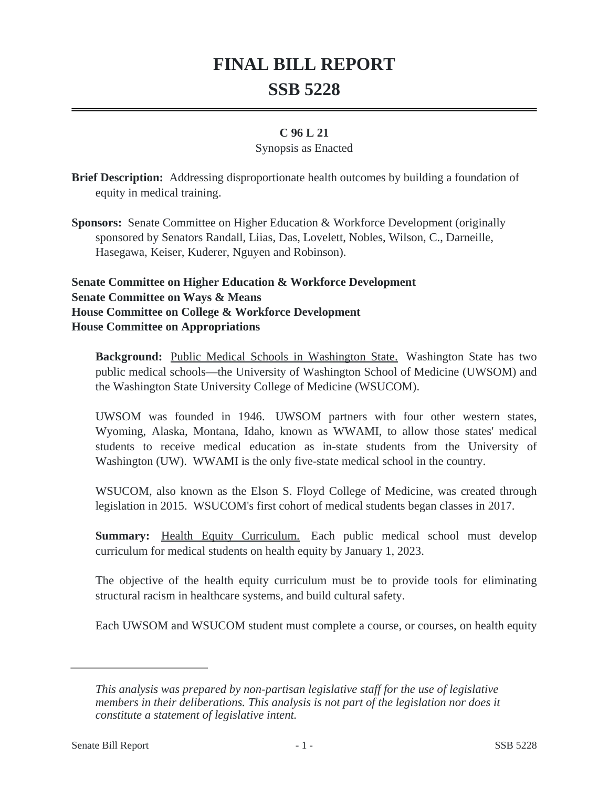## **FINAL BILL REPORT SSB 5228**

## **C 96 L 21**

## Synopsis as Enacted

**Brief Description:** Addressing disproportionate health outcomes by building a foundation of equity in medical training.

**Sponsors:** Senate Committee on Higher Education & Workforce Development (originally sponsored by Senators Randall, Liias, Das, Lovelett, Nobles, Wilson, C., Darneille, Hasegawa, Keiser, Kuderer, Nguyen and Robinson).

**Senate Committee on Higher Education & Workforce Development Senate Committee on Ways & Means House Committee on College & Workforce Development House Committee on Appropriations**

**Background:** Public Medical Schools in Washington State. Washington State has two public medical schools—the University of Washington School of Medicine (UWSOM) and the Washington State University College of Medicine (WSUCOM).

UWSOM was founded in 1946. UWSOM partners with four other western states, Wyoming, Alaska, Montana, Idaho, known as WWAMI, to allow those states' medical students to receive medical education as in-state students from the University of Washington (UW). WWAMI is the only five-state medical school in the country.

WSUCOM, also known as the Elson S. Floyd College of Medicine, was created through legislation in 2015. WSUCOM's first cohort of medical students began classes in 2017.

**Summary:** Health Equity Curriculum. Each public medical school must develop curriculum for medical students on health equity by January 1, 2023.

The objective of the health equity curriculum must be to provide tools for eliminating structural racism in healthcare systems, and build cultural safety.

Each UWSOM and WSUCOM student must complete a course, or courses, on health equity

*This analysis was prepared by non-partisan legislative staff for the use of legislative members in their deliberations. This analysis is not part of the legislation nor does it constitute a statement of legislative intent.*